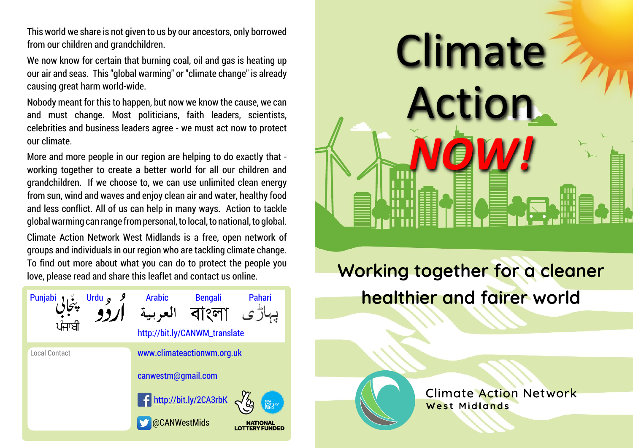from our children and grandchildren.

We now know for certain that burning coal, oil and gas is heating up our air and seas. This "global warming" or "climate change" is already causing great harm world-wide.

Nobody meant for this to happen, but now we know the cause, we can and must change. Most politicians, faith leaders, scientists, celebrities and business leaders agree - we must act now to protect our climate.

More and more people in our region are helping to do exactly that working together to create a better world for all our children and grandchildren. If we choose to, we can use unlimited clean energy from sun, wind and waves and enjoy clean air and water, healthy food and less conflict. All of us can help in many ways. Action to tackle global warming can range from personal, to local, to national, to global.

Climate Action Network West Midlands is a free, open network of groups and individuals in our region who are tackling climate change. To find out more about what you can do to protect the people you love, please read and share this leaflet and contact us online.





Working together for a cleaner healthier and fairer world